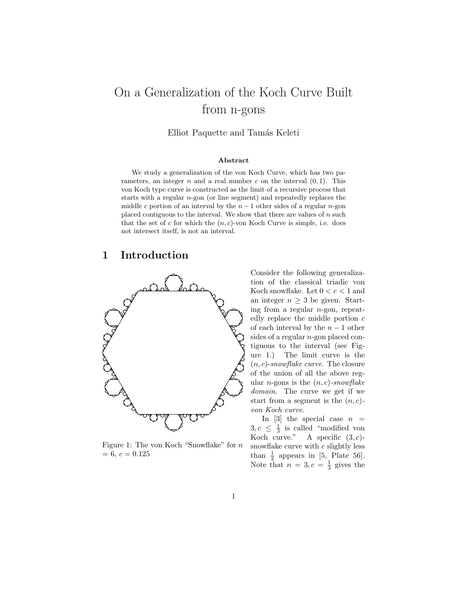# On a Generalization of the Koch Curve Built from n-gons

Elliot Paquette and Tamás Keleti

#### Abstract

We study a generalization of the von Koch Curve, which has two parameters, an integer  $n$  and a real number  $c$  on the interval  $(0, 1)$ . This von Koch type curve is constructed as the limit of a recursive process that starts with a regular  $n$ -gon (or line segment) and repeatedly replaces the middle c portion of an interval by the  $n-1$  other sides of a regular n-gon placed contiguous to the interval. We show that there are values of  $n$  such that the set of c for which the  $(n, c)$ -von Koch Curve is simple, i.e. does not intersect itself, is not an interval.

#### 1 Introduction



Figure 1: The von Koch "Snowflake" for n  $= 6, c = 0.125$ 

Consider the following generalization of the classical triadic von Koch snowflake. Let  $0 < c < 1$  and an integer  $n > 3$  be given. Starting from a regular n-gon, repeatedly replace the middle portion c of each interval by the  $n-1$  other sides of a regular  $n$ -gon placed contiguous to the interval (see Figure 1.) The limit curve is the  $(n, c)$ -snowflake curve. The closure of the union of all the above regular *n*-gons is the  $(n, c)$ -snowflake domain. The curve we get if we start from a segment is the  $(n, c)$ von Koch curve.

In  $[3]$  the special case  $n =$  $3, c \leq \frac{1}{3}$  is called "modified von Koch curve." A specific  $(3, c)$ snowflake curve with  $c$  slightly less than  $\frac{1}{2}$  appears in [5, Plate 56]. Note that  $n=3, c=\frac{1}{3}$  gives the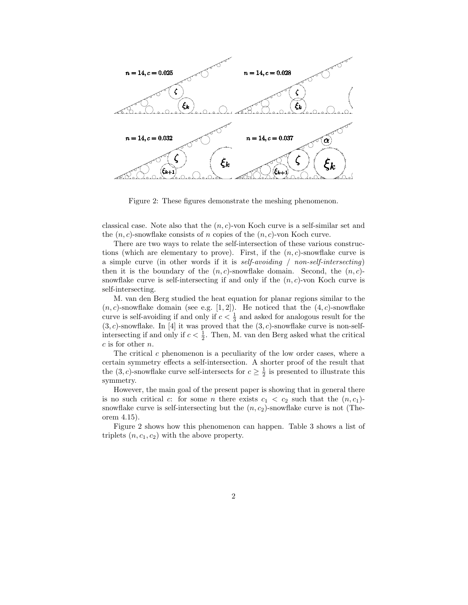

Figure 2: These figures demonstrate the meshing phenomenon.

classical case. Note also that the  $(n, c)$ -von Koch curve is a self-similar set and the  $(n, c)$ -snowflake consists of n copies of the  $(n, c)$ -von Koch curve.

There are two ways to relate the self-intersection of these various constructions (which are elementary to prove). First, if the  $(n, c)$ -snowflake curve is a simple curve (in other words if it is self-avoiding / non-self-intersecting) then it is the boundary of the  $(n, c)$ -snowflake domain. Second, the  $(n, c)$ snowflake curve is self-intersecting if and only if the  $(n, c)$ -von Koch curve is self-intersecting.

M. van den Berg studied the heat equation for planar regions similar to the  $(n, c)$ -snowflake domain (see e.g. [1, 2]). He noticed that the  $(4, c)$ -snowflake curve is self-avoiding if and only if  $c < \frac{1}{3}$  and asked for analogous result for the  $(3, c)$ -snowflake. In [4] it was proved that the  $(3, c)$ -snowflake curve is non-selfintersecting if and only if  $c < \frac{1}{2}$ . Then, M. van den Berg asked what the critical  $c$  is for other  $n$ .

The critical  $c$  phenomenon is a peculiarity of the low order cases, where a certain symmetry effects a self-intersection. A shorter proof of the result that the  $(3, c)$ -snowflake curve self-intersects for  $c \geq \frac{1}{2}$  is presented to illustrate this symmetry.

However, the main goal of the present paper is showing that in general there is no such critical c: for some n there exists  $c_1 < c_2$  such that the  $(n, c_1)$ snowflake curve is self-intersecting but the  $(n, c_2)$ -snowflake curve is not (Theorem 4.15).

Figure 2 shows how this phenomenon can happen. Table 3 shows a list of triplets  $(n, c_1, c_2)$  with the above property.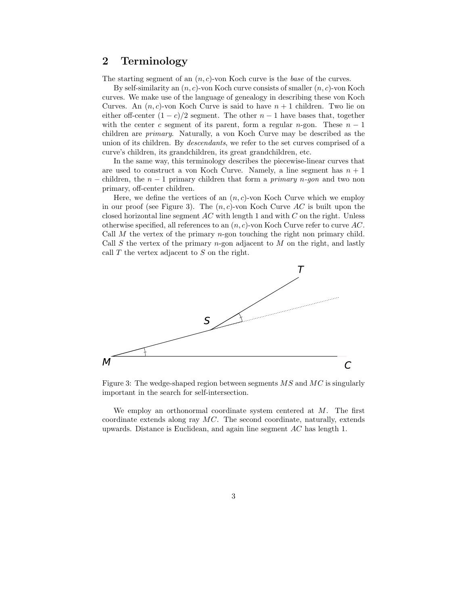#### 2 Terminology

The starting segment of an  $(n, c)$ -von Koch curve is the *base* of the curves.

By self-similarity an  $(n, c)$ -von Koch curve consists of smaller  $(n, c)$ -von Koch curves. We make use of the language of genealogy in describing these von Koch Curves. An  $(n, c)$ -von Koch Curve is said to have  $n + 1$  children. Two lie on either off-center  $(1 - c)/2$  segment. The other  $n - 1$  have bases that, together with the center c segment of its parent, form a regular n-gon. These  $n-1$ children are primary. Naturally, a von Koch Curve may be described as the union of its children. By descendants, we refer to the set curves comprised of a curve's children, its grandchildren, its great grandchildren, etc.

In the same way, this terminology describes the piecewise-linear curves that are used to construct a von Koch Curve. Namely, a line segment has  $n + 1$ children, the  $n-1$  primary children that form a *primary n-gon* and two non primary, off-center children.

Here, we define the vertices of an  $(n, c)$ -von Koch Curve which we employ in our proof (see Figure 3). The  $(n, c)$ -von Koch Curve AC is built upon the closed horizontal line segment  $AC$  with length 1 and with  $C$  on the right. Unless otherwise specified, all references to an  $(n, c)$ -von Koch Curve refer to curve AC. Call  $M$  the vertex of the primary  $n$ -gon touching the right non primary child. Call S the vertex of the primary n-gon adjacent to  $M$  on the right, and lastly call  $T$  the vertex adjacent to  $S$  on the right.



Figure 3: The wedge-shaped region between segments  $MS$  and  $MC$  is singularly important in the search for self-intersection.

We employ an orthonormal coordinate system centered at  $M$ . The first coordinate extends along ray MC. The second coordinate, naturally, extends upwards. Distance is Euclidean, and again line segment AC has length 1.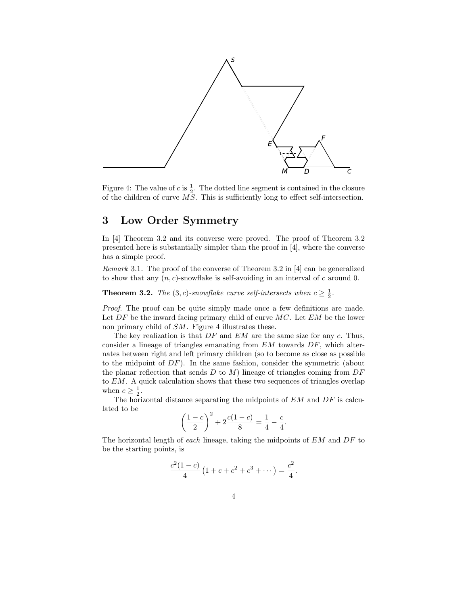

Figure 4: The value of c is  $\frac{1}{2}$ . The dotted line segment is contained in the closure of the children of curve  $\tilde{MS}$ . This is sufficiently long to effect self-intersection.

## 3 Low Order Symmetry

In [4] Theorem 3.2 and its converse were proved. The proof of Theorem 3.2 presented here is substantially simpler than the proof in [4], where the converse has a simple proof.

Remark 3.1. The proof of the converse of Theorem 3.2 in [4] can be generalized to show that any  $(n, c)$ -snowflake is self-avoiding in an interval of c around 0.

**Theorem 3.2.** The  $(3, c)$ -snowflake curve self-intersects when  $c \geq \frac{1}{2}$ .

Proof. The proof can be quite simply made once a few definitions are made. Let  $DF$  be the inward facing primary child of curve  $MC$ . Let  $EM$  be the lower non primary child of SM. Figure 4 illustrates these.

The key realization is that  $DF$  and  $EM$  are the same size for any  $c$ . Thus, consider a lineage of triangles emanating from EM towards DF, which alternates between right and left primary children (so to become as close as possible to the midpoint of  $DF$ ). In the same fashion, consider the symmetric (about the planar reflection that sends  $D$  to  $M$ ) lineage of triangles coming from  $DF$ to EM. A quick calculation shows that these two sequences of triangles overlap when  $c \geq \frac{1}{2}$ .

The horizontal distance separating the midpoints of  $EM$  and  $DF$  is calculated to be

$$
\left(\frac{1-c}{2}\right)^2 + 2\frac{c(1-c)}{8} = \frac{1}{4} - \frac{c}{4}.
$$

The horizontal length of each lineage, taking the midpoints of EM and DF to be the starting points, is

$$
\frac{c^2(1-c)}{4}\left(1+c+c^2+c^3+\cdots\right) = \frac{c^2}{4}.
$$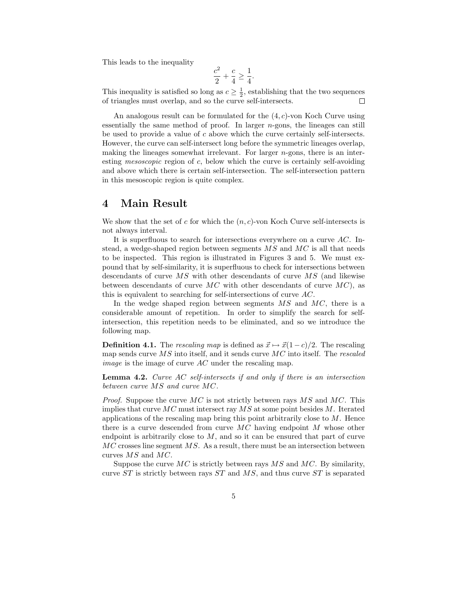This leads to the inequality

$$
\frac{c^2}{2} + \frac{c}{4} \ge \frac{1}{4}.
$$

This inequality is satisfied so long as  $c \geq \frac{1}{2}$ , establishing that the two sequences of triangles must overlap, and so the curve self-intersects.  $\Box$ 

An analogous result can be formulated for the  $(4, c)$ -von Koch Curve using essentially the same method of proof. In larger  $n$ -gons, the lineages can still be used to provide a value of  $c$  above which the curve certainly self-intersects. However, the curve can self-intersect long before the symmetric lineages overlap, making the lineages somewhat irrelevant. For larger  $n$ -gons, there is an interesting mesoscopic region of c, below which the curve is certainly self-avoiding and above which there is certain self-intersection. The self-intersection pattern in this mesoscopic region is quite complex.

#### 4 Main Result

We show that the set of c for which the  $(n, c)$ -von Koch Curve self-intersects is not always interval.

It is superfluous to search for intersections everywhere on a curve  $AC$ . Instead, a wedge-shaped region between segments  $MS$  and  $MC$  is all that needs to be inspected. This region is illustrated in Figures 3 and 5. We must expound that by self-similarity, it is superfluous to check for intersections between descendants of curve  $MS$  with other descendants of curve  $MS$  (and likewise between descendants of curve  $MC$  with other descendants of curve  $MC$ ), as this is equivalent to searching for self-intersections of curve AC.

In the wedge shaped region between segments  $MS$  and  $MC$ , there is a considerable amount of repetition. In order to simplify the search for selfintersection, this repetition needs to be eliminated, and so we introduce the following map.

**Definition 4.1.** The rescaling map is defined as  $\vec{x} \mapsto \vec{x}(1-c)/2$ . The rescaling map sends curve  $\overline{MS}$  into itself, and it sends curve  $\overline{MC}$  into itself. The rescaled *image* is the image of curve  $AC$  under the rescaling map.

Lemma 4.2. Curve AC self-intersects if and only if there is an intersection between curve MS and curve MC.

*Proof.* Suppose the curve  $MC$  is not strictly between rays  $MS$  and  $MC$ . This implies that curve  $MC$  must intersect ray  $MS$  at some point besides M. Iterated applications of the rescaling map bring this point arbitrarily close to  $M$ . Hence there is a curve descended from curve  $MC$  having endpoint  $M$  whose other endpoint is arbitrarily close to  $M$ , and so it can be ensured that part of curve  $MC$  crosses line segment  $MS$ . As a result, there must be an intersection between curves MS and MC.

Suppose the curve  $MC$  is strictly between rays  $MS$  and  $MC$ . By similarity, curve  $ST$  is strictly between rays  $ST$  and  $MS$ , and thus curve  $ST$  is separated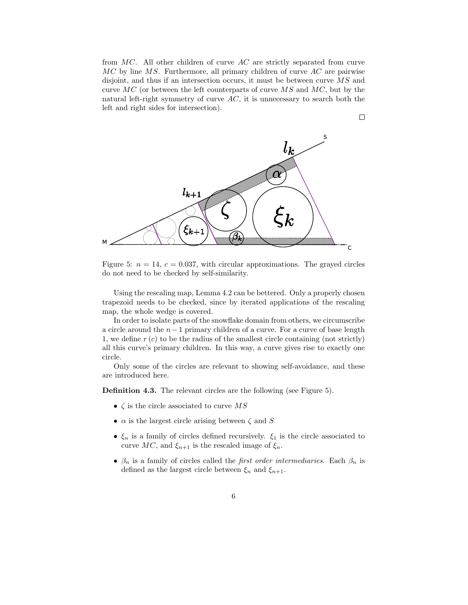from  $MC$ . All other children of curve  $AC$  are strictly separated from curve  $MC$  by line  $MS$ . Furthermore, all primary children of curve  $AC$  are pairwise disjoint, and thus if an intersection occurs, it must be between curve  $\overline{MS}$  and curve  $MC$  (or between the left counterparts of curve  $MS$  and  $MC$ , but by the natural left-right symmetry of curve  $AC$ , it is unnecessary to search both the left and right sides for intersection).

 $\Box$ 



Figure 5:  $n = 14$ ,  $c = 0.037$ , with circular approximations. The grayed circles do not need to be checked by self-similarity.

Using the rescaling map, Lemma 4.2 can be bettered. Only a properly chosen trapezoid needs to be checked, since by iterated applications of the rescaling map, the whole wedge is covered.

In order to isolate parts of the snowflake domain from others, we circumscribe a circle around the n−1 primary children of a curve. For a curve of base length 1, we define  $r(c)$  to be the radius of the smallest circle containing (not strictly) all this curve's primary children. In this way, a curve gives rise to exactly one circle.

Only some of the circles are relevant to showing self-avoidance, and these are introduced here.

Definition 4.3. The relevant circles are the following (see Figure 5).

- $\zeta$  is the circle associated to curve MS
- $\alpha$  is the largest circle arising between  $\zeta$  and  $S$
- $\xi_n$  is a family of circles defined recursively.  $\xi_1$  is the circle associated to curve  $MC$ , and  $\xi_{n+1}$  is the rescaled image of  $\xi_n$ .
- $\beta_n$  is a family of circles called the *first order intermediaries*. Each  $\beta_n$  is defined as the largest circle between  $\xi_n$  and  $\xi_{n+1}$ .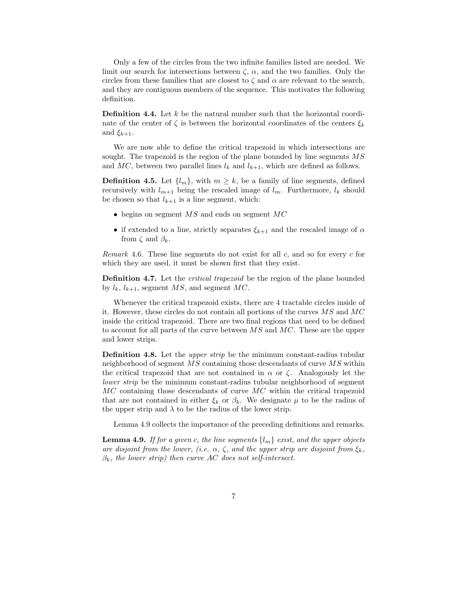Only a few of the circles from the two infinite families listed are needed. We limit our search for intersections between  $\zeta$ ,  $\alpha$ , and the two families. Only the circles from these families that are closest to  $\zeta$  and  $\alpha$  are relevant to the search, and they are contiguous members of the sequence. This motivates the following definition.

**Definition 4.4.** Let  $k$  be the natural number such that the horizontal coordinate of the center of  $\zeta$  is between the horizontal coordinates of the centers  $\xi_k$ and  $\xi_{k+1}$ .

We are now able to define the critical trapezoid in which intersections are sought. The trapezoid is the region of the plane bounded by line segments  $MS$ and MC, between two parallel lines  $l_k$  and  $l_{k+1}$ , which are defined as follows.

**Definition 4.5.** Let  $\{l_m\}$ , with  $m \geq k$ , be a family of line segments, defined recursively with  $l_{m+1}$  being the rescaled image of  $l_m$ . Furthermore,  $l_k$  should be chosen so that  $l_{k+1}$  is a line segment, which:

- begins on segment  $MS$  and ends on segment  $MC$
- if extended to a line, strictly separates  $\xi_{k+1}$  and the rescaled image of  $\alpha$ from  $\zeta$  and  $\beta_k$ .

Remark 4.6. These line segments do not exist for all  $c$ , and so for every  $c$  for which they are used, it must be shown first that they exist.

Definition 4.7. Let the critical trapezoid be the region of the plane bounded by  $l_k$ ,  $l_{k+1}$ , segment MS, and segment MC.

Whenever the critical trapezoid exists, there are 4 tractable circles inside of it. However, these circles do not contain all portions of the curves MS and MC inside the critical trapezoid. There are two final regions that need to be defined to account for all parts of the curve between  $\overline{MS}$  and  $\overline{MC}$ . These are the upper and lower strips.

Definition 4.8. Let the *upper strip* be the minimum constant-radius tubular neighborhood of segment MS containing those descendants of curve MS within the critical trapezoid that are not contained in  $\alpha$  or  $\zeta$ . Analogously let the lower strip be the minimum constant-radius tubular neighborhood of segment  $MC$  containing those descendants of curve  $MC$  within the critical trapezoid that are not contained in either  $\xi_k$  or  $\beta_k$ . We designate  $\mu$  to be the radius of the upper strip and  $\lambda$  to be the radius of the lower strip.

Lemma 4.9 collects the importance of the preceding definitions and remarks.

**Lemma 4.9.** If for a given c, the line segments  $\{l_m\}$  exist, and the upper objects are disjoint from the lower, (i.e.  $\alpha$ ,  $\zeta$ , and the upper strip are disjoint from  $\xi_k$ ,  $\beta_k$ , the lower strip) then curve AC does not self-intersect.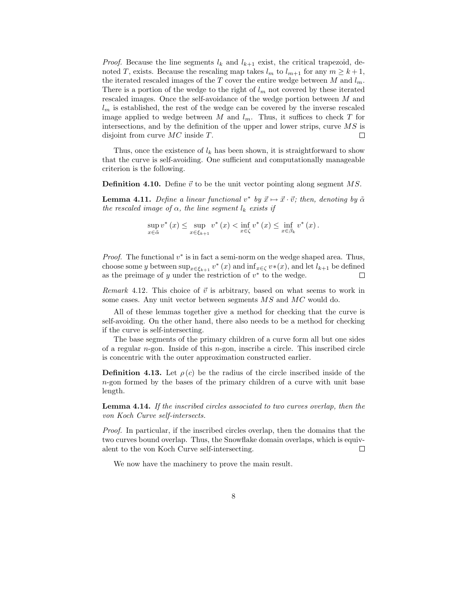*Proof.* Because the line segments  $l_k$  and  $l_{k+1}$  exist, the critical trapezoid, denoted T, exists. Because the rescaling map takes  $l_m$  to  $l_{m+1}$  for any  $m \geq k+1$ , the iterated rescaled images of the T cover the entire wedge between M and  $l_m$ . There is a portion of the wedge to the right of  $l_m$  not covered by these iterated rescaled images. Once the self-avoidance of the wedge portion between M and  $l_m$  is established, the rest of the wedge can be covered by the inverse rescaled image applied to wedge between  $M$  and  $l_m$ . Thus, it suffices to check  $T$  for intersections, and by the definition of the upper and lower strips, curve  $MS$  is disjoint from curve MC inside T.  $\Box$ 

Thus, once the existence of  $l_k$  has been shown, it is straightforward to show that the curve is self-avoiding. One sufficient and computationally manageable criterion is the following.

**Definition 4.10.** Define  $\vec{v}$  to be the unit vector pointing along segment MS.

**Lemma 4.11.** Define a linear functional  $v^*$  by  $\vec{x} \mapsto \vec{x} \cdot \vec{v}$ ; then, denoting by  $\tilde{\alpha}$ the rescaled image of  $\alpha$ , the line segment  $l_k$  exists if

$$
\sup_{x \in \tilde{\alpha}} v^* (x) \leq \sup_{x \in \xi_{k+1}} v^* (x) < \inf_{x \in \zeta} v^* (x) \leq \inf_{x \in \beta_k} v^* (x).
$$

*Proof.* The functional  $v^*$  is in fact a semi-norm on the wedge shaped area. Thus, choose some y between  $\sup_{x \in \xi_{k+1}} v^*(x)$  and  $\inf_{x \in \zeta} v^*(x)$ , and let  $l_{k+1}$  be defined as the preimage of y under the restriction of  $v^*$  to the wedge.  $\Box$ 

Remark 4.12. This choice of  $\vec{v}$  is arbitrary, based on what seems to work in some cases. Any unit vector between segments MS and MC would do.

All of these lemmas together give a method for checking that the curve is self-avoiding. On the other hand, there also needs to be a method for checking if the curve is self-intersecting.

The base segments of the primary children of a curve form all but one sides of a regular  $n$ -gon. Inside of this  $n$ -gon, inscribe a circle. This inscribed circle is concentric with the outer approximation constructed earlier.

**Definition 4.13.** Let  $\rho(c)$  be the radius of the circle inscribed inside of the n-gon formed by the bases of the primary children of a curve with unit base length.

Lemma 4.14. If the inscribed circles associated to two curves overlap, then the von Koch Curve self-intersects.

Proof. In particular, if the inscribed circles overlap, then the domains that the two curves bound overlap. Thus, the Snowflake domain overlaps, which is equivalent to the von Koch Curve self-intersecting.  $\Box$ 

We now have the machinery to prove the main result.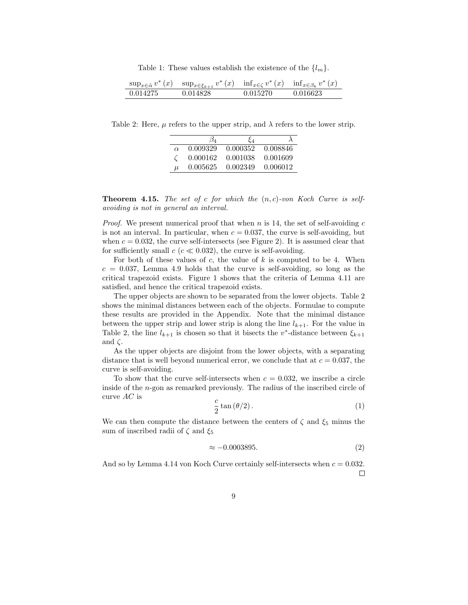Table 1: These values establish the existence of the  $\{l_m\}$ .

|          | $\sup_{x \in \tilde{\alpha}} v^*(x)$ $\sup_{x \in \xi_{k+1}} v^*(x)$ $\inf_{x \in \zeta} v^*(x)$ $\inf_{x \in \beta_k} v^*(x)$ |          |          |
|----------|--------------------------------------------------------------------------------------------------------------------------------|----------|----------|
| 0.014275 | 0.014828                                                                                                                       | 0.015270 | 0.016623 |

Table 2: Here,  $\mu$  refers to the upper strip, and  $\lambda$  refers to the lower strip.

|          | ι34      | $\xi_4$  |          |
|----------|----------|----------|----------|
| $\alpha$ | 0.009329 | 0.000352 | 0.008846 |
|          | 0.000162 | 0.001038 | 0.001609 |
| $\mu$    | 0.005625 | 0.002349 | 0.006012 |

**Theorem 4.15.** The set of c for which the  $(n, c)$ -von Koch Curve is selfavoiding is not in general an interval.

*Proof.* We present numerical proof that when n is 14, the set of self-avoiding c is not an interval. In particular, when  $c = 0.037$ , the curve is self-avoiding, but when  $c = 0.032$ , the curve self-intersects (see Figure 2). It is assumed clear that for sufficiently small  $c$  ( $c \ll 0.032$ ), the curve is self-avoiding.

For both of these values of c, the value of  $k$  is computed to be 4. When  $c = 0.037$ , Lemma 4.9 holds that the curve is self-avoiding, so long as the critical trapezoid exists. Figure 1 shows that the criteria of Lemma 4.11 are satisfied, and hence the critical trapezoid exists.

The upper objects are shown to be separated from the lower objects. Table 2 shows the minimal distances between each of the objects. Formulae to compute these results are provided in the Appendix. Note that the minimal distance between the upper strip and lower strip is along the line  $l_{k+1}$ . For the value in Table 2, the line  $l_{k+1}$  is chosen so that it bisects the v<sup>\*</sup>-distance between  $\xi_{k+1}$ and  $\zeta$ .

As the upper objects are disjoint from the lower objects, with a separating distance that is well beyond numerical error, we conclude that at  $c = 0.037$ , the curve is self-avoiding.

To show that the curve self-intersects when  $c = 0.032$ , we inscribe a circle inside of the n-gon as remarked previously. The radius of the inscribed circle of curve AC is

$$
\frac{c}{2}\tan\left(\frac{\theta}{2}\right). \tag{1}
$$

We can then compute the distance between the centers of  $\zeta$  and  $\xi_5$  minus the sum of inscribed radii of  $\zeta$  and  $\xi_5$ 

$$
\approx -0.0003895.\tag{2}
$$

And so by Lemma 4.14 von Koch Curve certainly self-intersects when  $c = 0.032$ .  $\Box$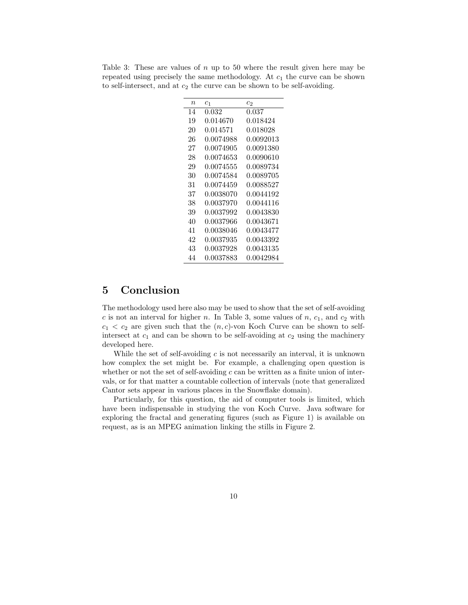| $\it n$ | $c_1$     | C9.       |
|---------|-----------|-----------|
| 14      | 0.032     | 0.037     |
| 19      | 0.014670  | 0.018424  |
| 20      | 0.014571  | 0.018028  |
| 26      | 0.0074988 | 0.0092013 |
| 27      | 0.0074905 | 0.0091380 |
| 28      | 0.0074653 | 0.0090610 |
| 29      | 0.0074555 | 0.0089734 |
| 30      | 0.0074584 | 0.0089705 |
| 31      | 0.0074459 | 0.0088527 |
| 37      | 0.0038070 | 0.0044192 |
| 38      | 0.0037970 | 0.0044116 |
| 39      | 0.0037992 | 0.0043830 |
| 40      | 0.0037966 | 0.0043671 |
| 41      | 0.0038046 | 0.0043477 |
| 42      | 0.0037935 | 0.0043392 |
| 43      | 0.0037928 | 0.0043135 |
| 44      | 0.0037883 | 0.0042984 |

Table 3: These are values of  $n \text{ up to } 50$  where the result given here may be repeated using precisely the same methodology. At  $c_1$  the curve can be shown to self-intersect, and at  $c_2$  the curve can be shown to be self-avoiding.

#### 5 Conclusion

The methodology used here also may be used to show that the set of self-avoiding c is not an interval for higher n. In Table 3, some values of  $n, c_1$ , and  $c_2$  with  $c_1 < c_2$  are given such that the  $(n, c)$ -von Koch Curve can be shown to selfintersect at  $c_1$  and can be shown to be self-avoiding at  $c_2$  using the machinery developed here.

While the set of self-avoiding  $c$  is not necessarily an interval, it is unknown how complex the set might be. For example, a challenging open question is whether or not the set of self-avoiding  $c$  can be written as a finite union of intervals, or for that matter a countable collection of intervals (note that generalized Cantor sets appear in various places in the Snowflake domain).

Particularly, for this question, the aid of computer tools is limited, which have been indispensable in studying the von Koch Curve. Java software for exploring the fractal and generating figures (such as Figure 1) is available on request, as is an MPEG animation linking the stills in Figure 2.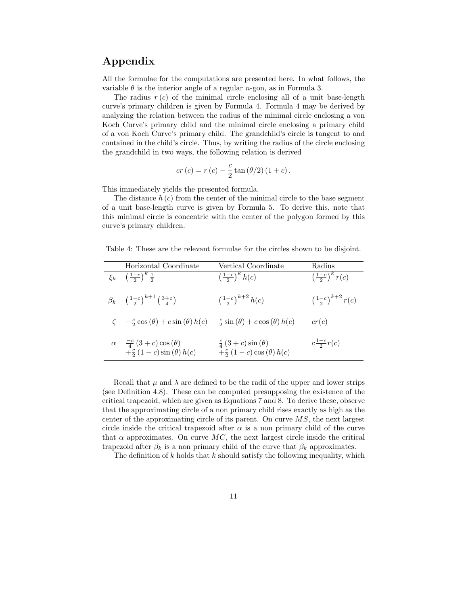### Appendix

All the formulae for the computations are presented here. In what follows, the variable  $\theta$  is the interior angle of a regular *n*-gon, as in Formula 3.

The radius  $r(c)$  of the minimal circle enclosing all of a unit base-length curve's primary children is given by Formula 4. Formula 4 may be derived by analyzing the relation between the radius of the minimal circle enclosing a von Koch Curve's primary child and the minimal circle enclosing a primary child of a von Koch Curve's primary child. The grandchild's circle is tangent to and contained in the child's circle. Thus, by writing the radius of the circle enclosing the grandchild in two ways, the following relation is derived

$$
cr(c) = r(c) - \frac{c}{2} \tan (\theta/2) (1 + c).
$$

This immediately yields the presented formula.

The distance  $h(c)$  from the center of the minimal circle to the base segment of a unit base-length curve is given by Formula 5. To derive this, note that this minimal circle is concentric with the center of the polygon formed by this curve's primary children.

Table 4: These are the relevant formulae for the circles shown to be disjoint.

| Horizontal Coordinate                                                              | Vertical Coordinate                                                   | Radius                                  |
|------------------------------------------------------------------------------------|-----------------------------------------------------------------------|-----------------------------------------|
| $\xi_k \left( \frac{1-c}{2} \right)^k \frac{1}{2}$                                 | $\left(\frac{1-c}{2}\right)^k h(c)$                                   | $\left(\frac{1-c}{2}\right)^k r(c)$     |
| $\beta_k \left( \frac{1-c}{2} \right)^{k+1} \left( \frac{3+c}{4} \right)$          | $\left(\frac{1-c}{2}\right)^{k+2} h(c)$                               | $\left(\frac{1-c}{2}\right)^{k+2} r(c)$ |
| $\zeta = \frac{c}{2} \cos (\theta) + c \sin (\theta) h(c)$                         | $\frac{c}{2}\sin(\theta) + c\cos(\theta) h(c)$                        | cr(c)                                   |
| $\alpha = \frac{-c}{4} (3+c) \cos (\theta)$<br>$+\frac{c}{2}(1-c)\sin(\theta)h(c)$ | $\frac{c}{4}(3+c)\sin(\theta)$<br>$+\frac{c}{2}(1-c)\cos(\theta)h(c)$ | $c\frac{1-c}{2}r(c)$                    |

Recall that  $\mu$  and  $\lambda$  are defined to be the radii of the upper and lower strips (see Definition 4.8). These can be computed presupposing the existence of the critical trapezoid, which are given as Equations 7 and 8. To derive these, observe that the approximating circle of a non primary child rises exactly as high as the center of the approximating circle of its parent. On curve  $MS$ , the next largest circle inside the critical trapezoid after  $\alpha$  is a non primary child of the curve that  $\alpha$  approximates. On curve MC, the next largest circle inside the critical trapezoid after  $\beta_k$  is a non primary child of the curve that  $\beta_k$  approximates.

The definition of  $k$  holds that  $k$  should satisfy the following inequality, which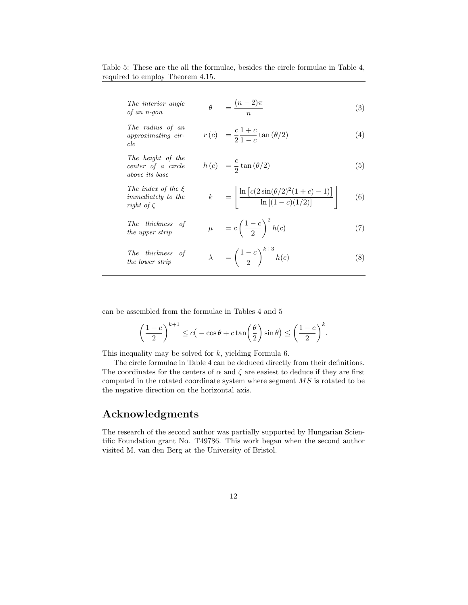Table 5: These are the all the formulae, besides the circle formulae in Table 4, required to employ Theorem 4.15.

| The interior angle<br>of an n-gon                                       | $=\frac{(n-2)\pi}{2}$                                                                | (3) |
|-------------------------------------------------------------------------|--------------------------------------------------------------------------------------|-----|
| The radius of an<br>approximating cir-<br>cle                           | $r(c) = \frac{c}{2} \frac{1+c}{1-c} \tan (\theta/2)$                                 | (4) |
| The height of the<br>center of a circle<br>above its base               | $h(c) = \frac{c}{2} \tan (\theta/2)$                                                 | (5) |
| The index of the $\xi$<br><i>immediately</i> to the<br>right of $\zeta$ | k = $\frac{\ln\left[c(2\sin(\theta/2)^2(1+c)-1)\right]}{\ln\left[(1-c)(1/2)\right]}$ | (6) |
| The thickness of<br>the upper strip                                     | $\mu = c \left( \frac{1-c}{2} \right)^2 h(c)$                                        | (7) |
| The thickness of<br><i>the lower strip</i>                              | $\lambda = \left(\frac{1-c}{2}\right)^{\kappa + \delta} h(c)$                        | (8) |

can be assembled from the formulae in Tables 4 and 5

$$
\left(\frac{1-c}{2}\right)^{k+1} \le c\big(-\cos\theta + c\tan\bigg(\frac{\theta}{2}\bigg)\sin\theta\big) \le \bigg(\frac{1-c}{2}\bigg)^k.
$$

This inequality may be solved for  $k$ , yielding Formula 6.

The circle formulae in Table 4 can be deduced directly from their definitions. The coordinates for the centers of  $\alpha$  and  $\zeta$  are easiest to deduce if they are first computed in the rotated coordinate system where segment MS is rotated to be the negative direction on the horizontal axis.

### Acknowledgments

The research of the second author was partially supported by Hungarian Scientific Foundation grant No. T49786. This work began when the second author visited M. van den Berg at the University of Bristol.